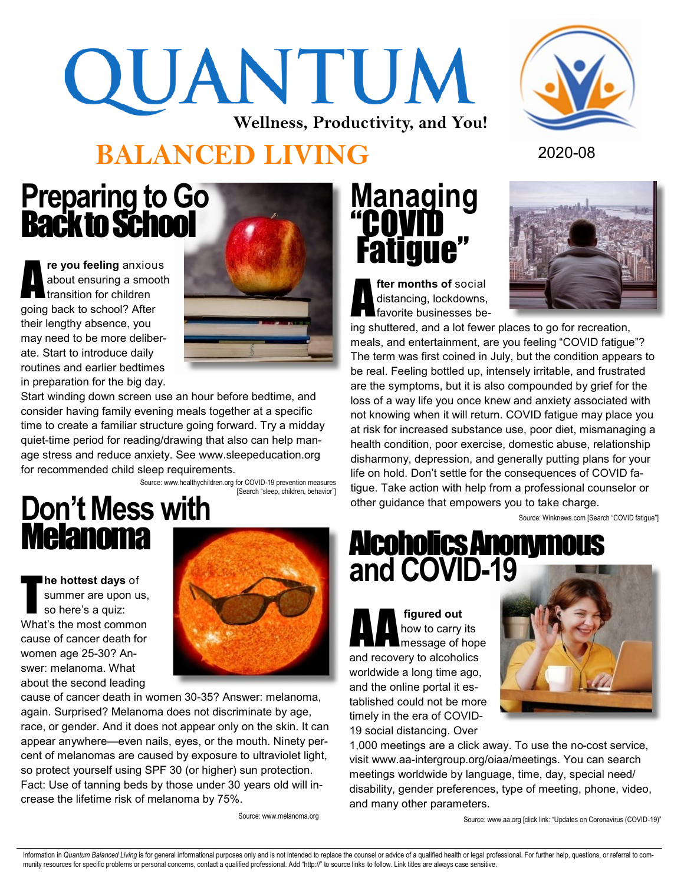# QUANTUM **Wellness, Productivity, and You!**



### **BALANCED LIVING** <sup>2020</sup>-<sup>08</sup>

#### **Preparing to Go**  Back to School

A **re you feeling** anxious about ensuring a smooth transition for children going back to school? After their lengthy absence, you may need to be more deliberate. Start to introduce daily routines and earlier bedtimes in preparation for the big day.



Start winding down screen use an hour before bedtime, and consider having family evening meals together at a specific time to create a familiar structure going forward. Try a midday quiet-time period for reading/drawing that also can help manage stress and reduce anxiety. See www.sleepeducation.org for recommended child sleep requirements.

Source: www.healthychildren.org for COVID-19 prevention measures [Search "sleep, children, behavior"]

#### **Don't Mess with**  Melanoma

T **he hottest days** of summer are upon us, so here's a quiz: What's the most common cause of cancer death for women age 25-30? Answer: melanoma. What about the second leading



cause of cancer death in women 30-35? Answer: melanoma, again. Surprised? Melanoma does not discriminate by age, race, or gender. And it does not appear only on the skin. It can appear anywhere—even nails, eyes, or the mouth. Ninety percent of melanomas are caused by exposure to ultraviolet light, so protect yourself using SPF 30 (or higher) sun protection. Fact: Use of tanning beds by those under 30 years old will increase the lifetime risk of melanoma by 75%.

Source: www.melanoma.org

### **Managing**  "COVID Fatigue"

A **fter months of** social distancing, lockdowns, favorite businesses be-



ing shuttered, and a lot fewer places to go for recreation, meals, and entertainment, are you feeling "COVID fatigue"? The term was first coined in July, but the condition appears to be real. Feeling bottled up, intensely irritable, and frustrated are the symptoms, but it is also compounded by grief for the loss of a way life you once knew and anxiety associated with not knowing when it will return. COVID fatigue may place you at risk for increased substance use, poor diet, mismanaging a health condition, poor exercise, domestic abuse, relationship disharmony, depression, and generally putting plans for your life on hold. Don't settle for the consequences of COVID fatigue. Take action with help from a professional counselor or other guidance that empowers you to take charge.

Source: Winknews.com [Search "COVID fatigue"]

#### Alcoholics Anonymous **and COVID-19**

**A** figured out<br>how to carry<br>message of **h** how to carry its message of hope and recovery to alcoholics worldwide a long time ago, and the online portal it established could not be more timely in the era of COVID-19 social distancing. Over



1,000 meetings are a click away. To use the no-cost service, visit www.aa-intergroup.org/oiaa/meetings. You can search meetings worldwide by language, time, day, special need/ disability, gender preferences, type of meeting, phone, video, and many other parameters.

Source: www.aa.org [click link: "Updates on Coronavirus (COVID-19)"

Information in Quantum Balanced Living is for general informational purposes only and is not intended to replace the counsel or advice of a qualified health or legal professional. For further help, questions, or referral t munity resources for specific problems or personal concerns, contact a qualified professional. Add "http://" to source links to follow. Link titles are always case sensitive.